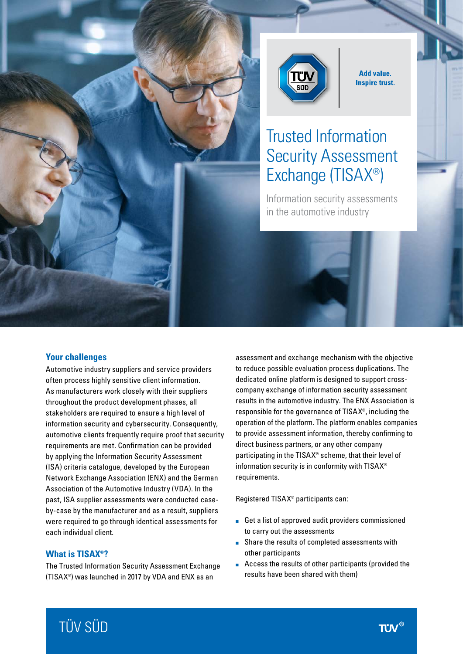



**Add value. Inspire trust.** 

# Trusted Information Security Assessment Exchange (TISAX®)

Information security assessments in the automotive industry

#### **Your challenges**

Automotive industry suppliers and service providers often process highly sensitive client information. As manufacturers work closely with their suppliers throughout the product development phases, all stakeholders are required to ensure a high level of information security and cybersecurity. Consequently, automotive clients frequently require proof that security requirements are met. Confirmation can be provided by applying the Information Security Assessment (ISA) criteria catalogue, developed by the European Network Exchange Association (ENX) and the German Association of the Automotive Industry (VDA). In the past, ISA supplier assessments were conducted caseby-case by the manufacturer and as a result, suppliers were required to go through identical assessments for each individual client.

#### **What is TISAX®?**

The Trusted Information Security Assessment Exchange (TISAX®) was launched in 2017 by VDA and ENX as an

assessment and exchange mechanism with the objective to reduce possible evaluation process duplications. The dedicated online platform is designed to support crosscompany exchange of information security assessment results in the automotive industry. The ENX Association is responsible for the governance of TISAX®, including the operation of the platform. The platform enables companies to provide assessment information, thereby confirming to direct business partners, or any other company participating in the TISAX® scheme, that their level of information security is in conformity with TISAX® requirements.

Registered TISAX® participants can:

- Get a list of approved audit providers commissioned to carry out the assessments
- Share the results of completed assessments with other participants
- Access the results of other participants (provided the results have been shared with them)

# TÜV SÜD